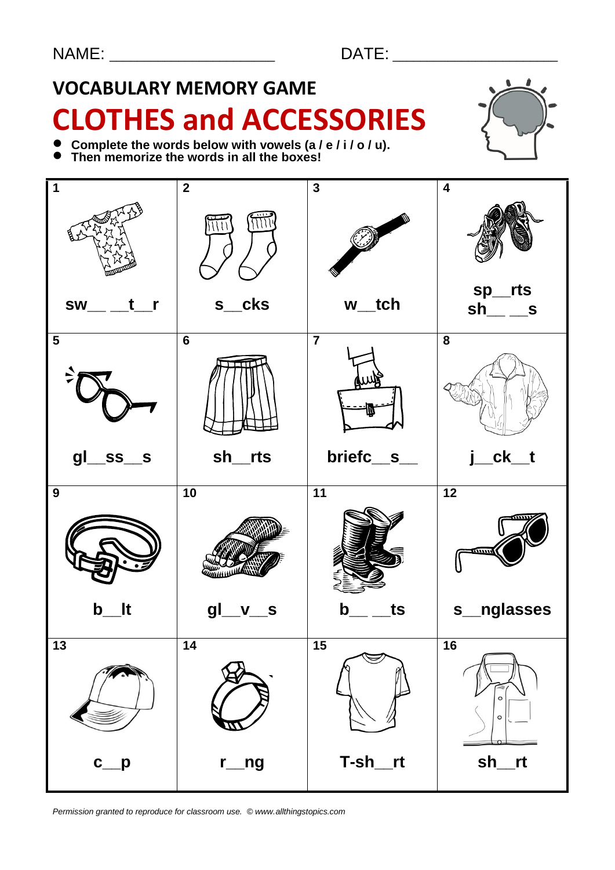# **VOCABULARY MEMORY GAME CLOTHES and ACCESSORIES**



- **Complete the words below with vowels (a / e / i / o / u).**
- Complete the words below with vowels (a)<br>● Then memorize the words in all the boxes!



*Permission granted to reproduce for classroom use. © www.allthingstopics.com*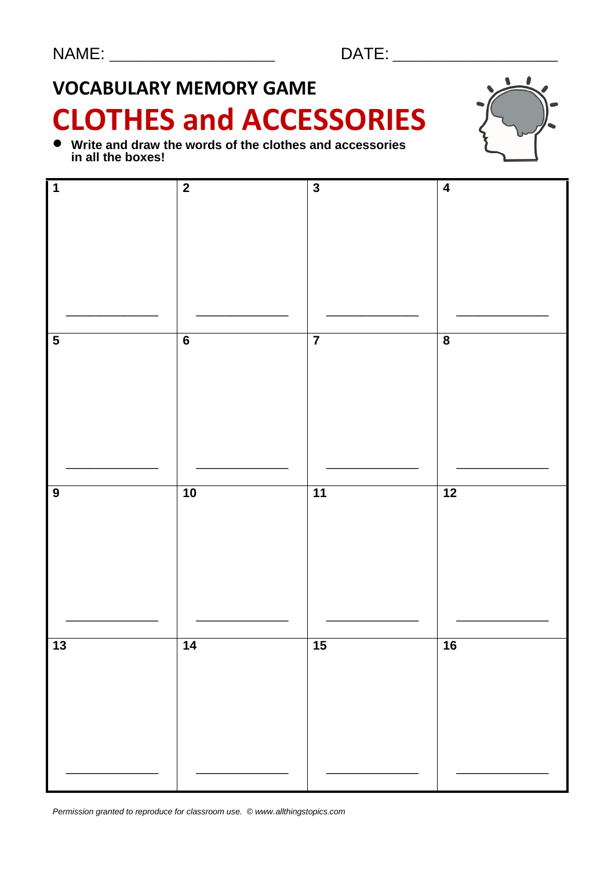# **VOCABULARY MEMORY GAME**

# **CLOTHES and ACCESSORIES**

 **Write and draw the words of the clothes and accessories in all the boxes!**